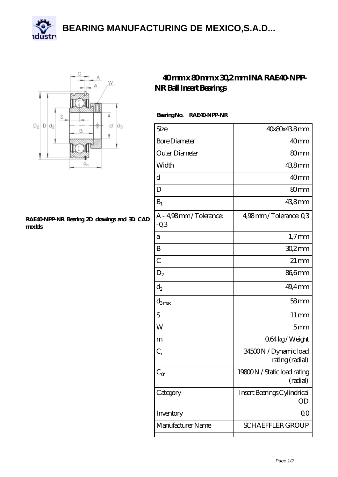**[BEARING MANUFACTURING DE MEXICO,S.A.D...](https://kristenpeterson.com)**





## **[RAE40-NPP-NR Bearing 2D drawings and 3D CAD](https://kristenpeterson.com/pic-327099.html) [models](https://kristenpeterson.com/pic-327099.html)**

## **[40 mm x 80 mm x 30,2 mm INA RAE40-NPP-](https://kristenpeterson.com/be-327099-ina-rae40-npp-nr-ball-insert-bearings.html)[NR Ball Insert Bearings](https://kristenpeterson.com/be-327099-ina-rae40-npp-nr-ball-insert-bearings.html)**

## **Bearing No. RAE40-NPP-NR**

| Size                            | 40x80x438mm                              |
|---------------------------------|------------------------------------------|
| <b>Bore Diameter</b>            | 40 <sub>mm</sub>                         |
| Outer Diameter                  | 80mm                                     |
| Width                           | 438mm                                    |
| d                               | 40 <sub>mm</sub>                         |
| D                               | 80mm                                     |
| $B_1$                           | 438mm                                    |
| A - 4,98mm/Tolerance:<br>$-0.3$ | 4,98mm/Tolerance: 0,3                    |
| a                               | $1,7$ mm                                 |
| B                               | $302$ mm                                 |
| $\overline{C}$                  | $21 \,\mathrm{mm}$                       |
| $\mathrm{D}_2$                  | 86,6mm                                   |
| $d_2$                           | 49,4 mm                                  |
| $d_{3max}$                      | 58 <sub>mm</sub>                         |
| S                               | $11 \,\mathrm{mm}$                       |
| W                               | 5mm                                      |
| m                               | Q64kg/Weight                             |
| $C_r$                           | 34500N / Dynamic load<br>rating (radial) |
| $C_{\alpha}$                    | 19800N / Static load rating<br>(radial)  |
| Category                        | Insert Bearings Cylindrical<br>OD        |
| Inventory                       | 0 <sup>0</sup>                           |
| Manufacturer Name               | <b>SCHAEFFLER GROUP</b>                  |
|                                 |                                          |